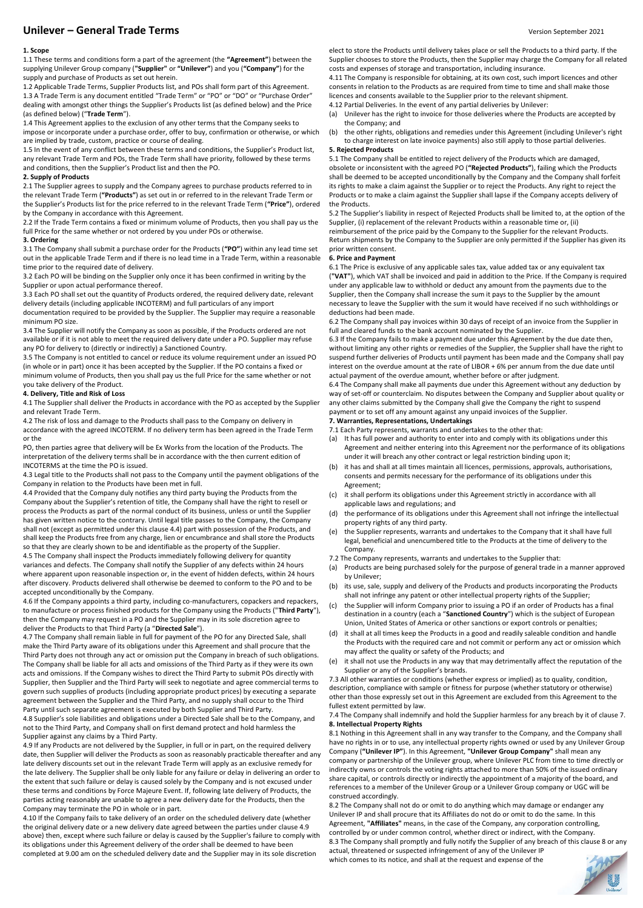# **Unilever – General Trade Terms** Version September 2021

# **1. Scope**

1.1 These terms and conditions form a part of the agreement (the **"Agreement"**) between the supplying Unilever Group company (**"Supplier"** or **"Unilever"**) and you (**"Company"**) for the supply and purchase of Products as set out herein.

1.2 Applicable Trade Terms, Supplier Products list, and POs shall form part of this Agreement. 1.3 A Trade Term is any document entitled "Trade Term" or "PO" or "DO" or "Purchase Order" dealing with amongst other things the Supplier's Products list (as defined below) and the Price (as defined below) ("**Trade Term**").

1.4 This Agreement applies to the exclusion of any other terms that the Company seeks to impose or incorporate under a purchase order, offer to buy, confirmation or otherwise, or which are implied by trade, custom, practice or course of dealing.

1.5 In the event of any conflict between these terms and conditions, the Supplier's Product list, any relevant Trade Term and POs, the Trade Term shall have priority, followed by these terms and conditions, then the Supplier's Product list and then the PO.

#### **2. Supply of Products**

2.1 The Supplier agrees to supply and the Company agrees to purchase products referred to in the relevant Trade Term (**"Products"**) as set out in or referred to in the relevant Trade Term or the Supplier's Products list for the price referred to in the relevant Trade Term (**"Price"**), ordered by the Company in accordance with this Agreement.

2.2 If the Trade Term contains a fixed or minimum volume of Products, then you shall pay us the full Price for the same whether or not ordered by you under POs or otherwise.

# **3. Ordering**

3.1 The Company shall submit a purchase order for the Products (**"PO"**) within any lead time set out in the applicable Trade Term and if there is no lead time in a Trade Term, within a reasonable time prior to the required date of delivery.

3.2 Each PO will be binding on the Supplier only once it has been confirmed in writing by the Supplier or upon actual performance thereof.

3.3 Each PO shall set out the quantity of Products ordered, the required delivery date, relevant delivery details (including applicable INCOTERM) and full particulars of any import documentation required to be provided by the Supplier. The Supplier may require a reasonable minimum PO size.

3.4 The Supplier will notify the Company as soon as possible, if the Products ordered are not available or if it is not able to meet the required delivery date under a PO. Supplier may refuse any PO for delivery to (directly or indirectly) a Sanctioned Country.

3.5 The Company is not entitled to cancel or reduce its volume requirement under an issued PO (in whole or in part) once it has been accepted by the Supplier. If the PO contains a fixed or minimum volume of Products, then you shall pay us the full Price for the same whether or not

## you take delivery of the Product. **4. Delivery, Title and Risk of Loss**

4.1 The Supplier shall deliver the Products in accordance with the PO as accepted by the Supplier and relevant Trade Term.

4.2 The risk of loss and damage to the Products shall pass to the Company on delivery in accordance with the agreed INCOTERM. If no delivery term has been agreed in the Trade Term or the

PO, then parties agree that delivery will be Ex Works from the location of the Products. The interpretation of the delivery terms shall be in accordance with the then current edition of INCOTERMS at the time the PO is issued.

4.3 Legal title to the Products shall not pass to the Company until the payment obligations of the Company in relation to the Products have been met in full.

4.4 Provided that the Company duly notifies any third party buying the Products from the Company about the Supplier's retention of title, the Company shall have the right to resell or process the Products as part of the normal conduct of its business, unless or until the Supplier has given written notice to the contrary. Until legal title passes to the Company, the Company shall not (except as permitted under this clause 4.4) part with possession of the Products, and shall keep the Products free from any charge, lien or encumbrance and shall store the Products so that they are clearly shown to be and identifiable as the property of the Supplier.

4.5 The Company shall inspect the Products immediately following delivery for quantity variances and defects. The Company shall notify the Supplier of any defects within 24 hours where apparent upon reasonable inspection or, in the event of hidden defects, within 24 hours after discovery. Products delivered shall otherwise be deemed to conform to the PO and to be accepted unconditionally by the Company.

4.6 If the Company appoints a third party, including co-manufacturers, copackers and repackers, to manufacture or process finished products for the Company using the Products ("**Third Party**"), then the Company may request in a PO and the Supplier may in its sole discretion agree to deliver the Products to that Third Party (a "**Directed Sale**").

4.7 The Company shall remain liable in full for payment of the PO for any Directed Sale, shall make the Third Party aware of its obligations under this Agreement and shall procure that the Third Party does not through any act or omission put the Company in breach of such obligations. The Company shall be liable for all acts and omissions of the Third Party as if they were its own acts and omissions. If the Company wishes to direct the Third Party to submit POs directly with Supplier, then Supplier and the Third Party will seek to negotiate and agree commercial terms to govern such supplies of products (including appropriate product prices) by executing a separate agreement between the Supplier and the Third Party, and no supply shall occur to the Third Party until such separate agreement is executed by both Supplier and Third Party.

4.8 Supplier's sole liabilities and obligations under a Directed Sale shall be to the Company, and not to the Third Party, and Company shall on first demand protect and hold harmless the Supplier against any claims by a Third Party.

4.9 If any Products are not delivered by the Supplier, in full or in part, on the required delivery date, then Supplier will deliver the Products as soon as reasonably practicable thereafter and any late delivery discounts set out in the relevant Trade Term will apply as an exclusive remedy for the late delivery. The Supplier shall be only liable for any failure or delay in delivering an order to the extent that such failure or delay is caused solely by the Company and is not excused under these terms and conditions by Force Majeure Event. If, following late delivery of Products, the parties acting reasonably are unable to agree a new delivery date for the Products, then the Company may terminate the PO in whole or in part.

4.10 If the Company fails to take delivery of an order on the scheduled delivery date (whether the original delivery date or a new delivery date agreed between the parties under clause 4.9 above) then, except where such failure or delay is caused by the Supplier's failure to comply with its obligations under this Agreement delivery of the order shall be deemed to have been completed at 9.00 am on the scheduled delivery date and the Supplier may in its sole discretion

elect to store the Products until delivery takes place or sell the Products to a third party. If the Supplier chooses to store the Products, then the Supplier may charge the Company for all related costs and expenses of storage and transportation, including insurance.

4.11 The Company is responsible for obtaining, at its own cost, such import licences and other consents in relation to the Products as are required from time to time and shall make those licences and consents available to the Supplier prior to the relevant shipment.

4.12 Partial Deliveries. In the event of any partial deliveries by Unilever:

(a) Unilever has the right to invoice for those deliveries where the Products are accepted by the Company; and

(b) the other rights, obligations and remedies under this Agreement (including Unilever's right to charge interest on late invoice payments) also still apply to those partial deliveries.

# **5. Rejected Products**

5.1 The Company shall be entitled to reject delivery of the Products which are damaged, obsolete or inconsistent with the agreed PO (**"Rejected Products"**), failing which the Products shall be deemed to be accepted unconditionally by the Company and the Company shall forfeit its rights to make a claim against the Supplier or to reject the Products. Any right to reject the Products or to make a claim against the Supplier shall lapse if the Company accepts delivery of the Products.

5.2 The Supplier's liability in respect of Rejected Products shall be limited to, at the option of the Supplier, (i) replacement of the relevant Products within a reasonable time or, (ii) reimbursement of the price paid by the Company to the Supplier for the relevant Products. Return shipments by the Company to the Supplier are only permitted if the Supplier has given its prior written consent.

## **6. Price and Payment**

6.1 The Price is exclusive of any applicable sales tax, value added tax or any equivalent tax (**"VAT"**), which VAT shall be invoiced and paid in addition to the Price. If the Company is required under any applicable law to withhold or deduct any amount from the payments due to the Supplier, then the Company shall increase the sum it pays to the Supplier by the amount necessary to leave the Supplier with the sum it would have received if no such withholdings or deductions had been made.

6.2 The Company shall pay invoices within 30 days of receipt of an invoice from the Supplier in full and cleared funds to the bank account nominated by the Supplier.

6.3 If the Company fails to make a payment due under this Agreement by the due date then, without limiting any other rights or remedies of the Supplier, the Supplier shall have the right to suspend further deliveries of Products until payment has been made and the Company shall pay interest on the overdue amount at the rate of LIBOR + 6% per annum from the due date until actual payment of the overdue amount, whether before or after judgment.

6.4 The Company shall make all payments due under this Agreement without any deduction by way of set-off or counterclaim. No disputes between the Company and Supplier about quality or any other claims submitted by the Company shall give the Company the right to suspend payment or to set off any amount against any unpaid invoices of the Supplier.

# **7. Warranties, Representations, Undertakings**

7.1 Each Party represents, warrants and undertakes to the other that:

- (a) It has full power and authority to enter into and comply with its obligations under this Agreement and neither entering into this Agreement nor the performance of its obligations under it will breach any other contract or legal restriction binding upon it;
- (b) it has and shall at all times maintain all licences, permissions, approvals, authorisations, consents and permits necessary for the performance of its obligations under this Agreement;
- (c) it shall perform its obligations under this Agreement strictly in accordance with all applicable laws and regulations; and
- (d) the performance of its obligations under this Agreement shall not infringe the intellectual property rights of any third party.
- (e) the Supplier represents, warrants and undertakes to the Company that it shall have full legal, beneficial and unencumbered title to the Products at the time of delivery to the Company.
- 7.2 The Company represents, warrants and undertakes to the Supplier that:
- (a) Products are being purchased solely for the purpose of general trade in a manner approved by Unilever;
- (b) its use, sale, supply and delivery of the Products and products incorporating the Products shall not infringe any patent or other intellectual property rights of the Supplier;
- (c) the Supplier will inform Company prior to issuing a PO if an order of Products has a final destination in a country (each a "**Sanctioned Country**") which is the subject of European Union, United States of America or other sanctions or export controls or penalties;
- (d) it shall at all times keep the Products in a good and readily saleable condition and handle the Products with the required care and not commit or perform any act or omission which may affect the quality or safety of the Products; and
- (e) it shall not use the Products in any way that may detrimentally affect the reputation of the Supplier or any of the Supplier's brands.

7.3 All other warranties or conditions (whether express or implied) as to quality, condition, description, compliance with sample or fitness for purpose (whether statutory or otherwise) other than those expressly set out in this Agreement are excluded from this Agreement to the fullest extent permitted by law.

## 7.4 The Company shall indemnify and hold the Supplier harmless for any breach by it of clause 7. **8. Intellectual Property Rights**

8.1 Nothing in this Agreement shall in any way transfer to the Company, and the Company shall have no rights in or to use, any intellectual property rights owned or used by any Unilever Group Company (**"Unilever IP"**). In this Agreement, **"Unilever Group Company"** shall mean any company or partnership of the Unilever group, where Unilever PLC from time to time directly or indirectly owns or controls the voting rights attached to more than 50% of the issued ordinary share capital, or controls directly or indirectly the appointment of a majority of the board, and references to a member of the Unilever Group or a Unilever Group company or UGC will be construed accordingly.

8.2 The Company shall not do or omit to do anything which may damage or endanger any Unilever IP and shall procure that its Affiliates do not do or omit to do the same. In this Agreement, **"Affiliates"** means, in the case of the Company, any corporation controlling, controlled by or under common control, whether direct or indirect, with the Company. 8.3 The Company shall promptly and fully notify the Supplier of any breach of this clause 8 or any actual, threatened or suspected infringement of any of the Unilever IP which comes to its notice, and shall at the request and expense of the

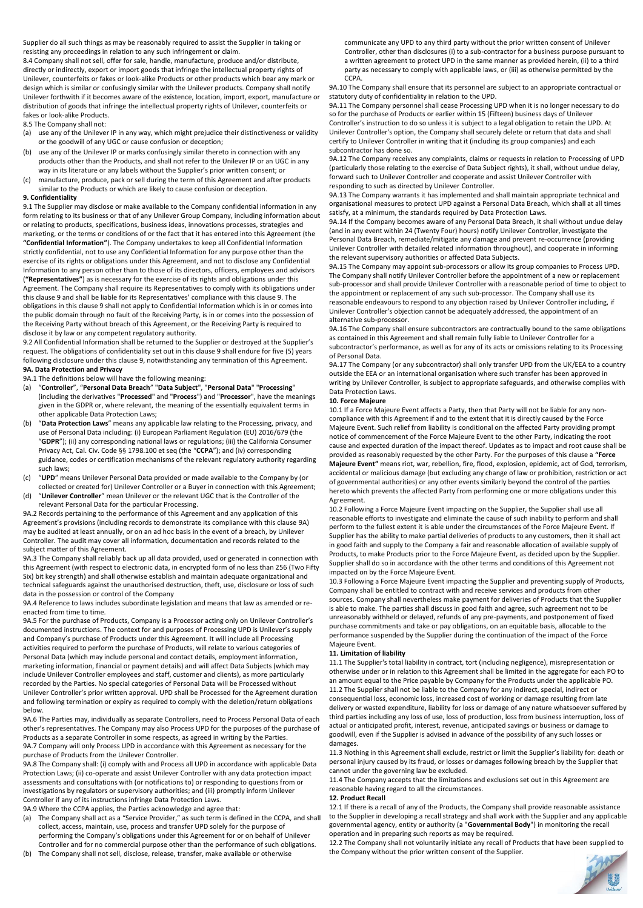Supplier do all such things as may be reasonably required to assist the Supplier in taking or resisting any proceedings in relation to any such infringement or claim.

8.4 Company shall not sell, offer for sale, handle, manufacture, produce and/or distribute, directly or indirectly, export or import goods that infringe the intellectual property rights of Unilever, counterfeits or fakes or look-alike Products or other products which bear any mark or design which is similar or confusingly similar with the Unilever products. Company shall notify Unilever forthwith if it becomes aware of the existence, location, import, export, manufacture or distribution of goods that infringe the intellectual property rights of Unilever, counterfeits or fakes or look-alike Products.

8.5 The Company shall not:

- (a) use any of the Unilever IP in any way, which might prejudice their distinctiveness or validity or the goodwill of any UGC or cause confusion or deception;
- (b) use any of the Unilever IP or marks confusingly similar thereto in connection with any products other than the Products, and shall not refer to the Unilever IP or an UGC in any way in its literature or any labels without the Supplier's prior written consent; or

(c) manufacture, produce, pack or sell during the term of this Agreement and after products similar to the Products or which are likely to cause confusion or deception.

# **9. Confidentiality**

9.1 The Supplier may disclose or make available to the Company confidential information in any form relating to its business or that of any Unilever Group Company, including information about or relating to products, specifications, business ideas, innovations processes, strategies and marketing, or the terms or conditions of or the fact that it has entered into this Agreement (the **"Confidential Information"**). The Company undertakes to keep all Confidential Information strictly confidential, not to use any Confidential Information for any purpose other than the exercise of its rights or obligations under this Agreement, and not to disclose any Confidential Information to any person other than to those of its directors, officers, employees and advisors (**"Representatives"**) as is necessary for the exercise of its rights and obligations under this Agreement. The Company shall require its Representatives to comply with its obligations under this clause 9 and shall be liable for its Representatives' compliance with this clause 9. The obligations in this clause 9 shall not apply to Confidential Information which is in or comes into the public domain through no fault of the Receiving Party, is in or comes into the possession of the Receiving Party without breach of this Agreement, or the Receiving Party is required to disclose it by law or any competent regulatory authority.

9.2 All Confidential Information shall be returned to the Supplier or destroyed at the Supplier's request. The obligations of confidentiality set out in this clause 9 shall endure for five (5) years following disclosure under this clause 9, notwithstanding any termination of this Agreement. **9A. Data Protection and Privacy**

9A.1 The definitions below will have the following meaning:

- (a) "**Controller**", "**Personal Data Breach**" "**Data Subject**", "**Personal Data**" "**Processing**" (including the derivatives "**Processed**" and "**Process**") and "**Processor**", have the meanings given in the GDPR or, where relevant, the meaning of the essentially equivalent terms in other applicable Data Protection Laws;
- (b) "**Data Protection Laws**" means any applicable law relating to the Processing, privacy, and use of Personal Data including: (i) European Parliament Regulation (EU) 2016/679 (the "**GDPR**"); (ii) any corresponding national laws or regulations; (iii) the California Consumer Privacy Act, Cal. Civ. Code §§ 1798.100 et seq (the "**CCPA**"); and (iv) corresponding guidance, codes or certification mechanisms of the relevant regulatory authority regarding such laws;
- (c) "**UPD**" means Unilever Personal Data provided or made available to the Company by (or collected or created for) Unilever Controller or a Buyer in connection with this Agreement;
- (d) "**Unilever Controller**" mean Unilever or the relevant UGC that is the Controller of the relevant Personal Data for the particular Processing.

9A.2 Records pertaining to the performance of this Agreement and any application of this Agreement's provisions (including records to demonstrate its compliance with this clause 9A) may be audited at least annually, or on an ad hoc basis in the event of a breach, by Unilever Controller. The audit may cover all information, documentation and records related to the subject matter of this Agreement.

9A.3 The Company shall reliably back up all data provided, used or generated in connection with this Agreement (with respect to electronic data, in encrypted form of no less than 256 (Two Fifty Six) bit key strength) and shall otherwise establish and maintain adequate organizational and technical safeguards against the unauthorised destruction, theft, use, disclosure or loss of such data in the possession or control of the Company

# 9A.4 Reference to laws includes subordinate legislation and means that law as amended or reenacted from time to time.

9A.5 For the purchase of Products, Company is a Processor acting only on Unilever Controller's documented instructions. The context for and purposes of Processing UPD is Unilever's supply and Company's purchase of Products under this Agreement. It will include all Processing activities required to perform the purchase of Products, will relate to various categories of Personal Data (which may include personal and contact details, employment information, marketing information, financial or payment details) and will affect Data Subjects (which may include Unilever Controller employees and staff, customer and clients), as more particularly recorded by the Parties. No special categories of Personal Data will be Processed without Unilever Controller's prior written approval. UPD shall be Processed for the Agreement duration and following termination or expiry as required to comply with the deletion/return obligations below.

#### 9A.6 The Parties may, individually as separate Controllers, need to Process Personal Data of each other's representatives. The Company may also Process UPD for the purposes of the purchase of Products as a separate Controller in some respects, as agreed in writing by the Parties. 9A.7 Company will only Process UPD in accordance with this Agreement as necessary for the purchase of Products from the Unilever Controller.

9A.8 The Company shall: (i) comply with and Process all UPD in accordance with applicable Data Protection Laws; (ii) co-operate and assist Unilever Controller with any data protection impact assessments and consultations with (or notifications to) or responding to questions from or investigations by regulators or supervisory authorities; and (iii) promptly inform Unilever Controller if any of its instructions infringe Data Protection Laws.

9A.9 Where the CCPA applies, the Parties acknowledge and agree that:

- (a) The Company shall act as a "Service Provider," as such term is defined in the CCPA, and shall collect, access, maintain, use, process and transfer UPD solely for the purpose of performing the Company's obligations under this Agreement for or on behalf of Unilever Controller and for no commercial purpose other than the performance of such obligations.
- (b) The Company shall not sell, disclose, release, transfer, make available or otherwise

communicate any UPD to any third party without the prior written consent of Unilever Controller, other than disclosures (i) to a sub-contractor for a business purpose pursuant to a written agreement to protect UPD in the same manner as provided herein, (ii) to a third party as necessary to comply with applicable laws, or (iii) as otherwise permitted by the CCPA.

9A.10 The Company shall ensure that its personnel are subject to an appropriate contractual or statutory duty of confidentiality in relation to the UPD.

9A.11 The Company personnel shall cease Processing UPD when it is no longer necessary to do so for the purchase of Products or earlier within 15 (Fifteen) business days of Unilever Controller's instruction to do so unless it is subject to a legal obligation to retain the UPD. At Unilever Controller's option, the Company shall securely delete or return that data and shall certify to Unilever Controller in writing that it (including its group companies) and each subcontractor has done so.

9A.12 The Company receives any complaints, claims or requests in relation to Processing of UPD (particularly those relating to the exercise of Data Subject rights), it shall, without undue delay, forward such to Unilever Controller and cooperate and assist Unilever Controller with responding to such as directed by Unilever Controller.

9A.13 The Company warrants it has implemented and shall maintain appropriate technical and organisational measures to protect UPD against a Personal Data Breach, which shall at all times satisfy, at a minimum, the standards required by Data Protection Laws.

9A.14 If the Company becomes aware of any Personal Data Breach, it shall without undue delay (and in any event within 24 (Twenty Four) hours) notify Unilever Controller, investigate the Personal Data Breach, remediate/mitigate any damage and prevent re-occurrence (providing Unilever Controller with detailed related information throughout), and cooperate in informing the relevant supervisory authorities or affected Data Subjects.

9A.15 The Company may appoint sub-processors or allow its group companies to Process UPD. The Company shall notify Unilever Controller before the appointment of a new or replacement sub-processor and shall provide Unilever Controller with a reasonable period of time to object to the appointment or replacement of any such sub-processor. The Company shall use its reasonable endeavours to respond to any objection raised by Unilever Controller including, if Unilever Controller's objection cannot be adequately addressed, the appointment of an alternative sub-processor.

9A.16 The Company shall ensure subcontractors are contractually bound to the same obligations as contained in this Agreement and shall remain fully liable to Unilever Controller for a subcontractor's performance, as well as for any of its acts or omissions relating to its Processing of Personal Data.

9A.17 The Company (or any subcontractor) shall only transfer UPD from the UK/EEA to a country outside the EEA or an international organisation where such transfer has been approved in writing by Unilever Controller, is subject to appropriate safeguards, and otherwise complies with Data Protection Laws.

# **10. Force Majeure**

10.1 If a Force Majeure Event affects a Party, then that Party will not be liable for any noncompliance with this Agreement if and to the extent that it is directly caused by the Force Majeure Event. Such relief from liability is conditional on the affected Party providing prompt notice of commencement of the Force Majeure Event to the other Party, indicating the root cause and expected duration of the impact thereof. Updates as to impact and root cause shall be provided as reasonably requested by the other Party. For the purposes of this clause a **"Force Majeure Event"** means riot, war, rebellion, fire, flood, explosion, epidemic, act of God, terrorism, accidental or malicious damage (but excluding any change of law or prohibition, restriction or act of governmental authorities) or any other events similarly beyond the control of the parties hereto which prevents the affected Party from performing one or more obligations under this Agreement.

10.2 Following a Force Majeure Event impacting on the Supplier, the Supplier shall use all reasonable efforts to investigate and eliminate the cause of such inability to perform and shall perform to the fullest extent it is able under the circumstances of the Force Majeure Event. If Supplier has the ability to make partial deliveries of products to any customers, then it shall act in good faith and supply to the Company a fair and reasonable allocation of available supply of Products, to make Products prior to the Force Majeure Event, as decided upon by the Supplier. Supplier shall do so in accordance with the other terms and conditions of this Agreement not impacted on by the Force Majeure Event.

10.3 Following a Force Majeure Event impacting the Supplier and preventing supply of Products, Company shall be entitled to contract with and receive services and products from other sources. Company shall nevertheless make payment for deliveries of Products that the Supplier is able to make. The parties shall discuss in good faith and agree, such agreement not to be unreasonably withheld or delayed, refunds of any pre-payments, and postponement of fixed purchase commitments and take or pay obligations, on an equitable basis, allocable to the performance suspended by the Supplier during the continuation of the impact of the Force Majeure Event.

# **11. Limitation of liability**

11.1 The Supplier's total liability in contract, tort (including negligence), misrepresentation or otherwise under or in relation to this Agreement shall be limited in the aggregate for each PO to an amount equal to the Price payable by Company for the Products under the applicable PO. 11.2 The Supplier shall not be liable to the Company for any indirect, special, indirect or consequential loss, economic loss, increased cost of working or damage resulting from late delivery or wasted expenditure, liability for loss or damage of any nature whatsoever suffered by third parties including any loss of use, loss of production, loss from business interruption, loss of actual or anticipated profit, interest, revenue, anticipated savings or business or damage to goodwill, even if the Supplier is advised in advance of the possibility of any such losses or damages.

11.3 Nothing in this Agreement shall exclude, restrict or limit the Supplier's liability for: death or personal injury caused by its fraud, or losses or damages following breach by the Supplier that cannot under the governing law be excluded.

11.4 The Company accepts that the limitations and exclusions set out in this Agreement are reasonable having regard to all the circumstances.

## **12. Product Recall**

12.1 If there is a recall of any of the Products, the Company shall provide reasonable assistance to the Supplier in developing a recall strategy and shall work with the Supplier and any applicable governmental agency, entity or authority (a "**Governmental Body**") in monitoring the recall operation and in preparing such reports as may be required.

12.2 The Company shall not voluntarily initiate any recall of Products that have been supplied to the Company without the prior written consent of the Supplier.